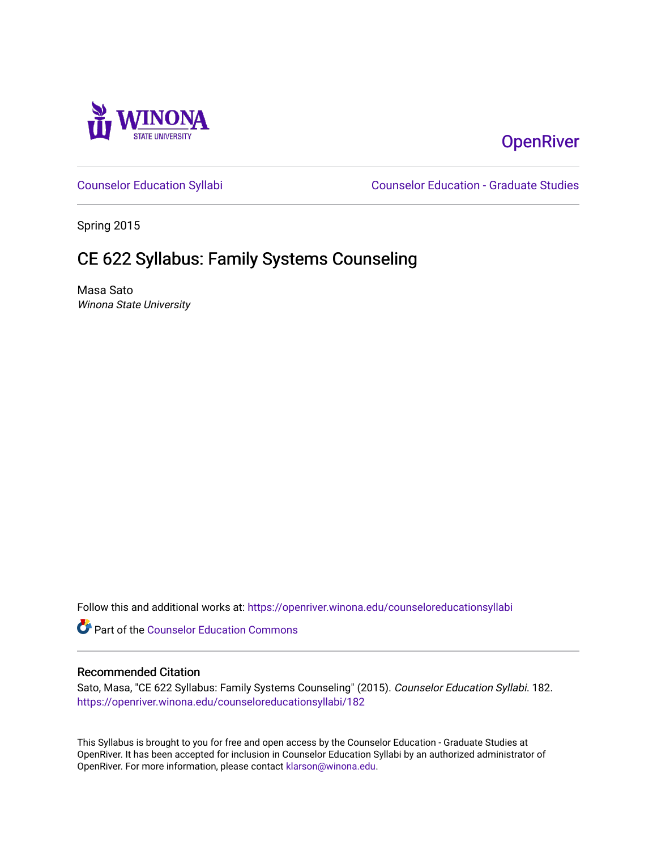

# **OpenRiver**

[Counselor Education Syllabi](https://openriver.winona.edu/counseloreducationsyllabi) [Counselor Education - Graduate Studies](https://openriver.winona.edu/counseloreducation) 

Spring 2015

# CE 622 Syllabus: Family Systems Counseling

Masa Sato Winona State University

Follow this and additional works at: [https://openriver.winona.edu/counseloreducationsyllabi](https://openriver.winona.edu/counseloreducationsyllabi?utm_source=openriver.winona.edu%2Fcounseloreducationsyllabi%2F182&utm_medium=PDF&utm_campaign=PDFCoverPages)

Part of the [Counselor Education Commons](http://network.bepress.com/hgg/discipline/1278?utm_source=openriver.winona.edu%2Fcounseloreducationsyllabi%2F182&utm_medium=PDF&utm_campaign=PDFCoverPages) 

#### Recommended Citation

Sato, Masa, "CE 622 Syllabus: Family Systems Counseling" (2015). Counselor Education Syllabi. 182. [https://openriver.winona.edu/counseloreducationsyllabi/182](https://openriver.winona.edu/counseloreducationsyllabi/182?utm_source=openriver.winona.edu%2Fcounseloreducationsyllabi%2F182&utm_medium=PDF&utm_campaign=PDFCoverPages)

This Syllabus is brought to you for free and open access by the Counselor Education - Graduate Studies at OpenRiver. It has been accepted for inclusion in Counselor Education Syllabi by an authorized administrator of OpenRiver. For more information, please contact [klarson@winona.edu](mailto:klarson@winona.edu).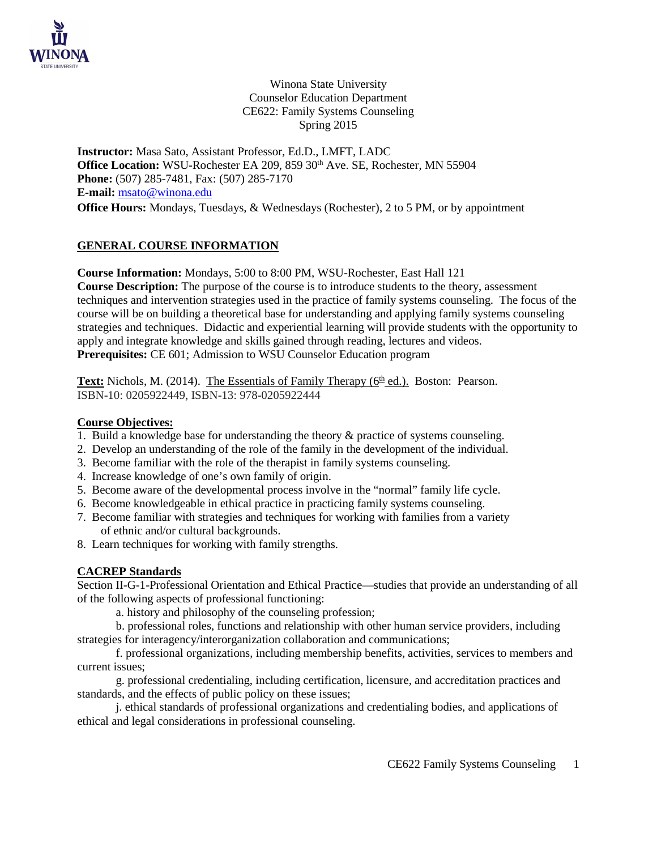

Winona State University Counselor Education Department CE622: Family Systems Counseling Spring 2015

**Instructor:** Masa Sato, Assistant Professor, Ed.D., LMFT, LADC Office Location: WSU-Rochester EA 209, 859 30<sup>th</sup> Ave. SE, Rochester, MN 55904 **Phone:** (507) 285-7481, Fax: (507) 285-7170 **E-mail:** [msato@winona.edu](mailto:msato@winona.edu) **Office Hours:** Mondays, Tuesdays, & Wednesdays (Rochester), 2 to 5 PM, or by appointment

## **GENERAL COURSE INFORMATION**

**Course Information:** Mondays, 5:00 to 8:00 PM, WSU-Rochester, East Hall 121

**Course Description:** The purpose of the course is to introduce students to the theory, assessment techniques and intervention strategies used in the practice of family systems counseling. The focus of the course will be on building a theoretical base for understanding and applying family systems counseling strategies and techniques. Didactic and experiential learning will provide students with the opportunity to apply and integrate knowledge and skills gained through reading, lectures and videos. **Prerequisites:** CE 601; Admission to WSU Counselor Education program

**Text:** Nichols, M. (2014). The Essentials of Family Therapy ( $6<sup>th</sup>$  ed.). Boston: Pearson. ISBN-10: 0205922449, ISBN-13: 978-0205922444

#### **Course Objectives:**

- 1. Build a knowledge base for understanding the theory & practice of systems counseling.
- 2. Develop an understanding of the role of the family in the development of the individual.
- 3. Become familiar with the role of the therapist in family systems counseling.
- 4. Increase knowledge of one's own family of origin.
- 5. Become aware of the developmental process involve in the "normal" family life cycle.
- 6. Become knowledgeable in ethical practice in practicing family systems counseling.
- 7. Become familiar with strategies and techniques for working with families from a variety of ethnic and/or cultural backgrounds.
- 8. Learn techniques for working with family strengths.

## **CACREP Standards**

Section II-G-1-Professional Orientation and Ethical Practice—studies that provide an understanding of all of the following aspects of professional functioning:

a. history and philosophy of the counseling profession;

b. professional roles, functions and relationship with other human service providers, including strategies for interagency/interorganization collaboration and communications;

f. professional organizations, including membership benefits, activities, services to members and current issues;

g. professional credentialing, including certification, licensure, and accreditation practices and standards, and the effects of public policy on these issues;

j. ethical standards of professional organizations and credentialing bodies, and applications of ethical and legal considerations in professional counseling.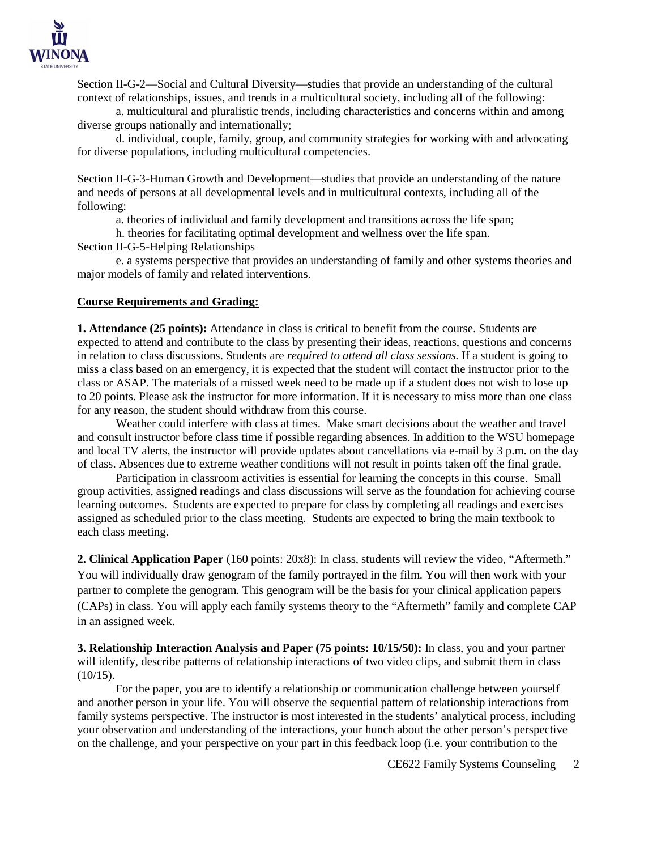

Section II-G-2—Social and Cultural Diversity—studies that provide an understanding of the cultural context of relationships, issues, and trends in a multicultural society, including all of the following:

a. multicultural and pluralistic trends, including characteristics and concerns within and among diverse groups nationally and internationally;

d. individual, couple, family, group, and community strategies for working with and advocating for diverse populations, including multicultural competencies.

Section II-G-3-Human Growth and Development—studies that provide an understanding of the nature and needs of persons at all developmental levels and in multicultural contexts, including all of the following:

a. theories of individual and family development and transitions across the life span;

h. theories for facilitating optimal development and wellness over the life span.

Section II-G-5-Helping Relationships

e. a systems perspective that provides an understanding of family and other systems theories and major models of family and related interventions.

#### **Course Requirements and Grading:**

**1. Attendance (25 points):** Attendance in class is critical to benefit from the course. Students are expected to attend and contribute to the class by presenting their ideas, reactions, questions and concerns in relation to class discussions. Students are *required to attend all class sessions.* If a student is going to miss a class based on an emergency, it is expected that the student will contact the instructor prior to the class or ASAP. The materials of a missed week need to be made up if a student does not wish to lose up to 20 points. Please ask the instructor for more information. If it is necessary to miss more than one class for any reason, the student should withdraw from this course.

Weather could interfere with class at times. Make smart decisions about the weather and travel and consult instructor before class time if possible regarding absences. In addition to the WSU homepage and local TV alerts, the instructor will provide updates about cancellations via e-mail by 3 p.m. on the day of class. Absences due to extreme weather conditions will not result in points taken off the final grade.

Participation in classroom activities is essential for learning the concepts in this course. Small group activities, assigned readings and class discussions will serve as the foundation for achieving course learning outcomes. Students are expected to prepare for class by completing all readings and exercises assigned as scheduled prior to the class meeting. Students are expected to bring the main textbook to each class meeting.

**2. Clinical Application Paper** (160 points: 20x8): In class, students will review the video, "Aftermeth." You will individually draw genogram of the family portrayed in the film. You will then work with your partner to complete the genogram. This genogram will be the basis for your clinical application papers (CAPs) in class. You will apply each family systems theory to the "Aftermeth" family and complete CAP in an assigned week.

**3. Relationship Interaction Analysis and Paper (75 points: 10/15/50):** In class, you and your partner will identify, describe patterns of relationship interactions of two video clips, and submit them in class  $(10/15)$ .

For the paper, you are to identify a relationship or communication challenge between yourself and another person in your life. You will observe the sequential pattern of relationship interactions from family systems perspective. The instructor is most interested in the students' analytical process, including your observation and understanding of the interactions, your hunch about the other person's perspective on the challenge, and your perspective on your part in this feedback loop (i.e. your contribution to the

CE622 Family Systems Counseling 2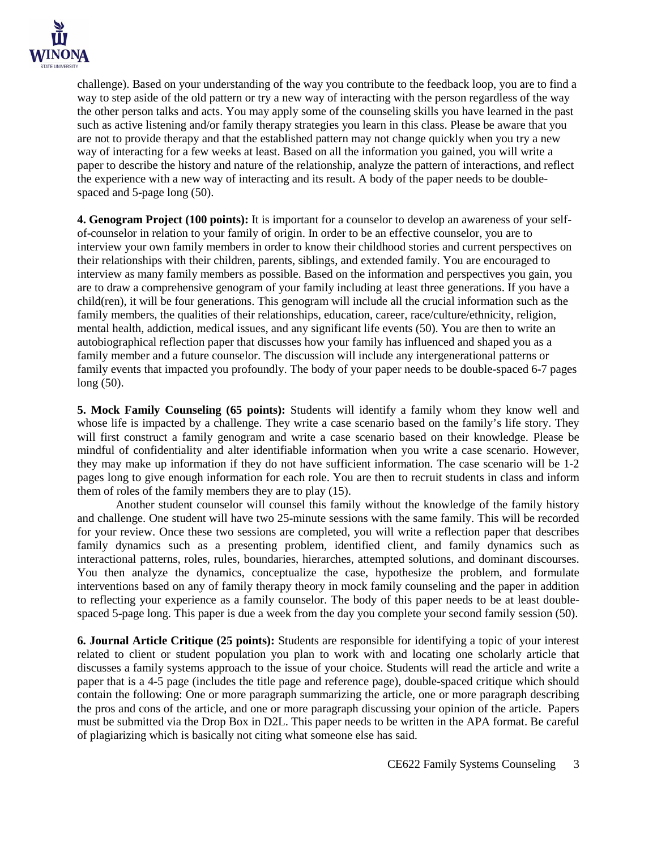

challenge). Based on your understanding of the way you contribute to the feedback loop, you are to find a way to step aside of the old pattern or try a new way of interacting with the person regardless of the way the other person talks and acts. You may apply some of the counseling skills you have learned in the past such as active listening and/or family therapy strategies you learn in this class. Please be aware that you are not to provide therapy and that the established pattern may not change quickly when you try a new way of interacting for a few weeks at least. Based on all the information you gained, you will write a paper to describe the history and nature of the relationship, analyze the pattern of interactions, and reflect the experience with a new way of interacting and its result. A body of the paper needs to be doublespaced and 5-page long (50).

**4. Genogram Project (100 points):** It is important for a counselor to develop an awareness of your selfof-counselor in relation to your family of origin. In order to be an effective counselor, you are to interview your own family members in order to know their childhood stories and current perspectives on their relationships with their children, parents, siblings, and extended family. You are encouraged to interview as many family members as possible. Based on the information and perspectives you gain, you are to draw a comprehensive genogram of your family including at least three generations. If you have a child(ren), it will be four generations. This genogram will include all the crucial information such as the family members, the qualities of their relationships, education, career, race/culture/ethnicity, religion, mental health, addiction, medical issues, and any significant life events (50). You are then to write an autobiographical reflection paper that discusses how your family has influenced and shaped you as a family member and a future counselor. The discussion will include any intergenerational patterns or family events that impacted you profoundly. The body of your paper needs to be double-spaced 6-7 pages long (50).

**5. Mock Family Counseling (65 points):** Students will identify a family whom they know well and whose life is impacted by a challenge. They write a case scenario based on the family's life story. They will first construct a family genogram and write a case scenario based on their knowledge. Please be mindful of confidentiality and alter identifiable information when you write a case scenario. However, they may make up information if they do not have sufficient information. The case scenario will be 1-2 pages long to give enough information for each role. You are then to recruit students in class and inform them of roles of the family members they are to play (15).

Another student counselor will counsel this family without the knowledge of the family history and challenge. One student will have two 25-minute sessions with the same family. This will be recorded for your review. Once these two sessions are completed, you will write a reflection paper that describes family dynamics such as a presenting problem, identified client, and family dynamics such as interactional patterns, roles, rules, boundaries, hierarches, attempted solutions, and dominant discourses. You then analyze the dynamics, conceptualize the case, hypothesize the problem, and formulate interventions based on any of family therapy theory in mock family counseling and the paper in addition to reflecting your experience as a family counselor. The body of this paper needs to be at least doublespaced 5-page long. This paper is due a week from the day you complete your second family session (50).

**6. Journal Article Critique (25 points):** Students are responsible for identifying a topic of your interest related to client or student population you plan to work with and locating one scholarly article that discusses a family systems approach to the issue of your choice. Students will read the article and write a paper that is a 4-5 page (includes the title page and reference page), double-spaced critique which should contain the following: One or more paragraph summarizing the article, one or more paragraph describing the pros and cons of the article, and one or more paragraph discussing your opinion of the article. Papers must be submitted via the Drop Box in D2L. This paper needs to be written in the APA format. Be careful of plagiarizing which is basically not citing what someone else has said.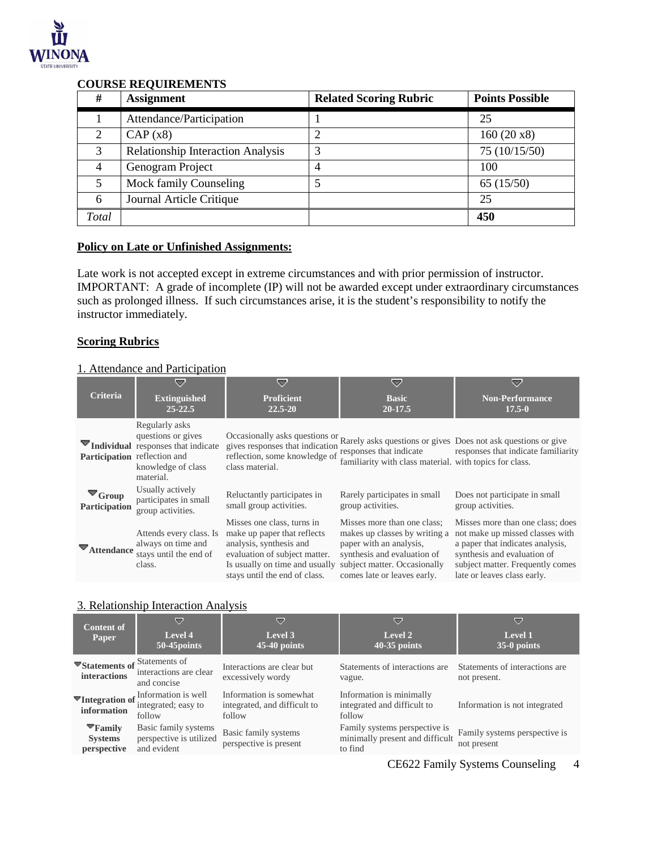

#### **COURSE REQUIREMENTS**

| #     | <b>Assignment</b>                        | <b>Related Scoring Rubric</b> | <b>Points Possible</b> |
|-------|------------------------------------------|-------------------------------|------------------------|
|       | Attendance/Participation                 |                               | 25                     |
| 2     | CAP(x8)                                  |                               | 160(20x8)              |
| 3     | <b>Relationship Interaction Analysis</b> |                               | 75 (10/15/50)          |
| 4     | Genogram Project                         |                               | 100                    |
|       | Mock family Counseling                   |                               | 65(15/50)              |
| 6     | Journal Article Critique                 |                               | 25                     |
| Total |                                          |                               | 450                    |

#### **Policy on Late or Unfinished Assignments:**

Late work is not accepted except in extreme circumstances and with prior permission of instructor. IMPORTANT: A grade of incomplete (IP) will not be awarded except under extraordinary circumstances such as prolonged illness. If such circumstances arise, it is the student's responsibility to notify the instructor immediately.

#### **Scoring Rubrics**

#### 1. Attendance and Participation

| <b>Criteria</b>                       | 52<br><b>Extinguished</b><br>$25 - 22.5$                                                                      | 57<br><b>Proficient</b><br>22.5-20                                                                                                                                                       | 52<br><b>Basic</b><br>$20-17.5$                                                                                                                                                       | 52<br><b>Non-Performance</b><br>$17.5 - 0$                                                                                                                                                                |
|---------------------------------------|---------------------------------------------------------------------------------------------------------------|------------------------------------------------------------------------------------------------------------------------------------------------------------------------------------------|---------------------------------------------------------------------------------------------------------------------------------------------------------------------------------------|-----------------------------------------------------------------------------------------------------------------------------------------------------------------------------------------------------------|
| Participation reflection and          | Regularly asks<br>questions or gives<br>Individual responses that indicate<br>knowledge of class<br>material. | gives responses that indication<br>reflection, some knowledge of responses that indicate<br>class material.                                                                              | familiarity with class material. with topics for class.                                                                                                                               | Occasionally asks questions or Rarely asks questions or gives Does not ask questions or give<br>responses that indicate familiarity                                                                       |
| $\blacksquare$ Group<br>Participation | Usually actively<br>participates in small<br>group activities.                                                | Reluctantly participates in<br>small group activities.                                                                                                                                   | Rarely participates in small<br>group activities.                                                                                                                                     | Does not participate in small<br>group activities.                                                                                                                                                        |
| Attendance                            | Attends every class. Is<br>always on time and<br>stays until the end of<br>class.                             | Misses one class, turns in<br>make up paper that reflects<br>analysis, synthesis and<br>evaluation of subject matter.<br>Is usually on time and usually<br>stays until the end of class. | Misses more than one class:<br>makes up classes by writing a<br>paper with an analysis.<br>synthesis and evaluation of<br>subject matter. Occasionally<br>comes late or leaves early. | Misses more than one class; does<br>not make up missed classes with<br>a paper that indicates analysis,<br>synthesis and evaluation of<br>subject matter. Frequently comes<br>late or leaves class early. |

#### 3. Relationship Interaction Analysis

| <b>Content of</b><br>Paper                          | ▽<br>Level 4<br>50-45 points                                   | ▽<br>Level 3<br>$45-40$ points                                    | ▽<br>Level 2<br>$40-35$ points                                              | ▽<br>Level 1<br>$35-0$ points                  |
|-----------------------------------------------------|----------------------------------------------------------------|-------------------------------------------------------------------|-----------------------------------------------------------------------------|------------------------------------------------|
| ▼Statements of Statements of<br><b>interactions</b> | interactions are clear<br>and concise                          | Interactions are clear but<br>excessively wordy                   | Statements of interactions are<br>vague.                                    | Statements of interactions are<br>not present. |
| <sup>₩</sup> Integration of<br>information          | Information is well<br>integrated; easy to<br>follow           | Information is somewhat<br>integrated, and difficult to<br>follow | Information is minimally<br>integrated and difficult to<br>follow           | Information is not integrated                  |
| $\Psi$ Family<br><b>Systems</b><br>perspective      | Basic family systems<br>perspective is utilized<br>and evident | Basic family systems<br>perspective is present                    | Family systems perspective is<br>minimally present and difficult<br>to find | Family systems perspective is<br>not present   |

CE622 Family Systems Counseling 4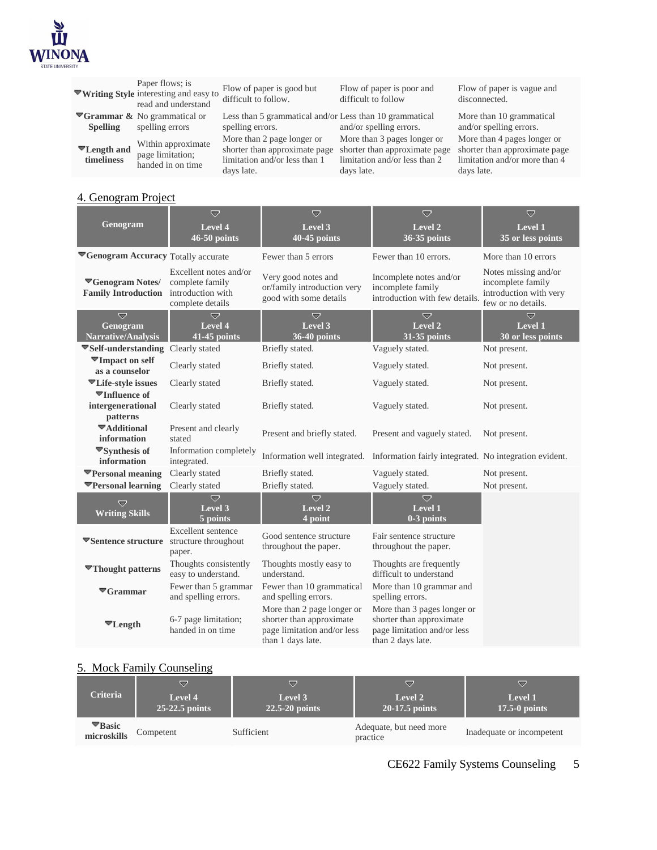

|                                  | Paper flows; is<br>▼Writing Style interesting and easy to<br>read and understand | Flow of paper is good but<br>difficult to follow.                                                          | Flow of paper is poor and<br>difficult to follow                                                            | Flow of paper is vague and<br>disconnected.                                                                 |
|----------------------------------|----------------------------------------------------------------------------------|------------------------------------------------------------------------------------------------------------|-------------------------------------------------------------------------------------------------------------|-------------------------------------------------------------------------------------------------------------|
| <b>Spelling</b>                  | $\blacktriangleright$ Grammar & No grammatical or<br>spelling errors             | Less than 5 grammatical and/or Less than 10 grammatical<br>spelling errors.                                | and/or spelling errors.                                                                                     | More than 10 grammatical<br>and/or spelling errors.                                                         |
| <b>▼Length and</b><br>timeliness | Within approximate<br>page limitation;<br>handed in on time                      | More than 2 page longer or<br>shorter than approximate page<br>limitation and/or less than 1<br>days late. | More than 3 pages longer or<br>shorter than approximate page<br>limitation and/or less than 2<br>days late. | More than 4 pages longer or<br>shorter than approximate page<br>limitation and/or more than 4<br>days late. |

# 4. Genogram Project

|                                                                | $\overline{\nabla}$                                                                | $\overline{\nabla}$                                                                                        | ▽                                                                                                           | $\overline{\nabla}$                                                                       |
|----------------------------------------------------------------|------------------------------------------------------------------------------------|------------------------------------------------------------------------------------------------------------|-------------------------------------------------------------------------------------------------------------|-------------------------------------------------------------------------------------------|
| Genogram                                                       | Level 4                                                                            | Level 3                                                                                                    | Level <sub>2</sub>                                                                                          | Level 1                                                                                   |
|                                                                | $46-50$ points                                                                     | $40-45$ points                                                                                             | 36-35 points                                                                                                | 35 or less points                                                                         |
| Genogram Accuracy Totally accurate                             |                                                                                    | Fewer than 5 errors                                                                                        | Fewer than 10 errors.                                                                                       | More than 10 errors                                                                       |
| <b>Example 5 Tenogram Notes/</b><br><b>Family Introduction</b> | Excellent notes and/or<br>complete family<br>introduction with<br>complete details | Very good notes and<br>or/family introduction very<br>good with some details                               | Incomplete notes and/or<br>incomplete family<br>introduction with few details.                              | Notes missing and/or<br>incomplete family<br>introduction with very<br>few or no details. |
| $\overline{\nabla}$<br>Genogram<br><b>Narrative/Analysis</b>   | $\overline{\nabla}$<br>Level 4<br>41-45 points                                     | $\overline{\nabla}$<br>Level 3<br>36-40 points                                                             | $\overline{\nabla}$<br>Level 2<br>$31-35$ points                                                            | $\overline{\nabla}$<br>Level 1<br>30 or less points                                       |
| ▼Self-understanding Clearly stated                             |                                                                                    | Briefly stated.                                                                                            | Vaguely stated.                                                                                             | Not present.                                                                              |
| <b>▼Impact on self</b><br>as a counselor                       | Clearly stated                                                                     | Briefly stated.                                                                                            | Vaguely stated.                                                                                             | Not present.                                                                              |
| <b>Executer Exercise</b> issues                                | Clearly stated                                                                     | Briefly stated.                                                                                            | Vaguely stated.                                                                                             | Not present.                                                                              |
| $\Pi$ Influence of<br>intergenerational<br>patterns            | Clearly stated                                                                     | Briefly stated.                                                                                            | Vaguely stated.                                                                                             | Not present.                                                                              |
| ▼Additional<br>information                                     | Present and clearly<br>stated                                                      | Present and briefly stated.                                                                                | Present and vaguely stated.                                                                                 | Not present.                                                                              |
| <sup>₩</sup> Synthesis of<br>information                       | Information completely<br>integrated.                                              | Information well integrated.                                                                               | Information fairly integrated. No integration evident.                                                      |                                                                                           |
| <b>▼Personal meaning</b>                                       | Clearly stated                                                                     | Briefly stated.                                                                                            | Vaguely stated.                                                                                             | Not present.                                                                              |
| <b>▼Personal learning</b>                                      | Clearly stated                                                                     | Briefly stated.                                                                                            | Vaguely stated.                                                                                             | Not present.                                                                              |
| U<br><b>Writing Skills</b>                                     | $\overline{\nabla}$<br>Level 3<br>5 points                                         | $\overline{\nabla}$<br>Level <sub>2</sub><br>4 point                                                       | $\overline{\nabla}$<br>Level 1<br>$0-3$ points                                                              |                                                                                           |
| <b>Exercise</b> structure                                      | Excellent sentence<br>structure throughout<br>paper.                               | Good sentence structure<br>throughout the paper.                                                           | Fair sentence structure<br>throughout the paper.                                                            |                                                                                           |
| <b>▼Thought patterns</b>                                       | Thoughts consistently<br>easy to understand.                                       | Thoughts mostly easy to<br>understand.                                                                     | Thoughts are frequently<br>difficult to understand                                                          |                                                                                           |
| $\mathbf{\nabla}$ Grammar                                      | Fewer than 5 grammar<br>and spelling errors.                                       | Fewer than 10 grammatical<br>and spelling errors.                                                          | More than 10 grammar and<br>spelling errors.                                                                |                                                                                           |
| $\mathbf{v}_{\text{Length}}$                                   | 6-7 page limitation;<br>handed in on time                                          | More than 2 page longer or<br>shorter than approximate<br>page limitation and/or less<br>than 1 days late. | More than 3 pages longer or<br>shorter than approximate<br>page limitation and/or less<br>than 2 days late. |                                                                                           |

# 5. Mock Family Counseling

| <b>Criteria</b>                        | ≂                | ≂                  | $\overline{\phantom{a}}$            | ▽                         |
|----------------------------------------|------------------|--------------------|-------------------------------------|---------------------------|
|                                        | Level 4          | Level 3            | Level 2                             | Level 1                   |
|                                        | $25-22.5$ points | $22.5 - 20$ points | $20-17.5$ points                    | $17.5-0$ points           |
| $\mathbf{\nabla}$ Basic<br>microskills | Competent        | Sufficient         | Adequate, but need more<br>practice | Inadequate or incompetent |

CE622 Family Systems Counseling 5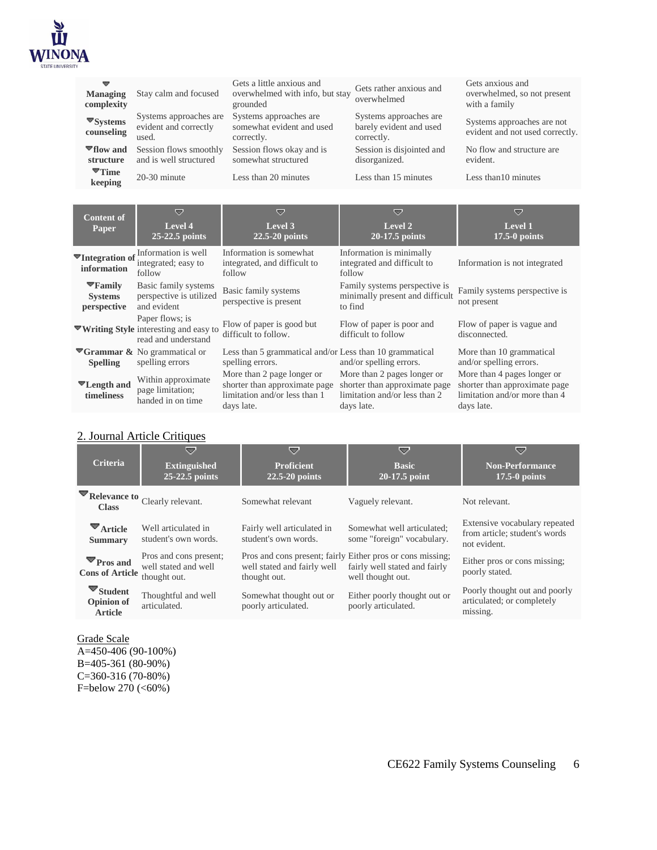

| ▼<br><b>Managing</b><br>complexity                                 | Stay calm and focused                                              | Gets a little anxious and<br>overwhelmed with info, but stay<br>grounded | Gets rather anxious and<br>overwhelmed                             | Gets anxious and<br>overwhelmed, so not present<br>with a family |
|--------------------------------------------------------------------|--------------------------------------------------------------------|--------------------------------------------------------------------------|--------------------------------------------------------------------|------------------------------------------------------------------|
| $\blacktriangledown$ Systems<br>counseling                         | Systems approaches are<br>evident and correctly<br>used.           | Systems approaches are<br>somewhat evident and used<br>correctly.        | Systems approaches are<br>barely evident and used<br>correctly.    | Systems approaches are not<br>evident and not used correctly.    |
| $\P$ flow and<br>structure<br>$\blacktriangledown$ Time<br>keeping | Session flows smoothly<br>and is well structured<br>$20-30$ minute | Session flows okay and is<br>somewhat structured<br>Less than 20 minutes | Session is disjointed and<br>disorganized.<br>Less than 15 minutes | No flow and structure are.<br>evident.<br>Less than 10 minutes   |
|                                                                    |                                                                    |                                                                          |                                                                    |                                                                  |

| <b>Content of</b><br>Paper                                       | ≂<br>Level 4<br>$25-22.5$ points                                                        | ≂<br>Level 3<br>$22.5 - 20$ points                                                                         | ▽<br>Level 2<br>$20-17.5$ points                                                                            | $\overline{\phantom{a}}$<br>Level 1<br>$17.5-0$ points                                                      |
|------------------------------------------------------------------|-----------------------------------------------------------------------------------------|------------------------------------------------------------------------------------------------------------|-------------------------------------------------------------------------------------------------------------|-------------------------------------------------------------------------------------------------------------|
| $\blacktriangledown$ Integration of $\frac{1}{2}$<br>information | Information is well<br>integrated; easy to<br>follow                                    | Information is somewhat<br>integrated, and difficult to<br>follow                                          | Information is minimally<br>integrated and difficult to<br>follow                                           | Information is not integrated                                                                               |
| $\Psi$ Family<br><b>Systems</b><br>perspective                   | Basic family systems<br>perspective is utilized<br>and evident                          | Basic family systems<br>perspective is present                                                             | Family systems perspective is<br>minimally present and difficult<br>to find                                 | Family systems perspective is<br>not present                                                                |
|                                                                  | Paper flows; is<br><b>▼Writing Style</b> interesting and easy to<br>read and understand | Flow of paper is good but<br>difficult to follow.                                                          | Flow of paper is poor and<br>difficult to follow                                                            | Flow of paper is vague and<br>disconnected.                                                                 |
| <b>Spelling</b>                                                  | $\blacktriangledown$ Grammar & No grammatical or<br>spelling errors                     | Less than 5 grammatical and/or Less than 10 grammatical<br>spelling errors.                                | and/or spelling errors.                                                                                     | More than 10 grammatical<br>and/or spelling errors.                                                         |
| <b>▼Length and</b><br>timeliness                                 | Within approximate<br>page limitation;<br>handed in on time                             | More than 2 page longer or<br>shorter than approximate page<br>limitation and/or less than 1<br>days late. | More than 2 pages longer or<br>shorter than approximate page<br>limitation and/or less than 2<br>days late. | More than 4 pages longer or<br>shorter than approximate page<br>limitation and/or more than 4<br>days late. |

# 2. Journal Article Critiques

| 52<br><b>Extinguished</b><br>25-22.5 points                                              | 57<br><b>Proficient</b><br>$22.5 - 20$ points      | 57<br><b>Basic</b><br>20-17.5 point                      | 57<br><b>Non-Performance</b><br>$17.5-0$ points                                |
|------------------------------------------------------------------------------------------|----------------------------------------------------|----------------------------------------------------------|--------------------------------------------------------------------------------|
| Relevance to Clearly relevant.                                                           | Somewhat relevant                                  | Vaguely relevant.                                        | Not relevant.                                                                  |
| Well articulated in<br>student's own words.                                              | Fairly well articulated in<br>student's own words. | Somewhat well articulated:<br>some "foreign" vocabulary. | Extensive vocabulary repeated<br>from article; student's words<br>not evident. |
| Pros and cons present;<br>well stated and well<br><b>Cons of Article</b><br>thought out. | well stated and fairly well<br>thought out.        | fairly well stated and fairly<br>well thought out.       | Either pros or cons missing;<br>poorly stated.                                 |
| Thoughtful and well<br>articulated.                                                      | Somewhat thought out or<br>poorly articulated.     | Either poorly thought out or<br>poorly articulated.      | Poorly thought out and poorly<br>articulated; or completely<br>missing.        |
|                                                                                          |                                                    |                                                          | Pros and cons present; fairly Either pros or cons missing;                     |

#### Grade Scale

A=450-406 (90-100%) B=405-361 (80-90%) C=360-316 (70-80%) F=below 270 (<60%)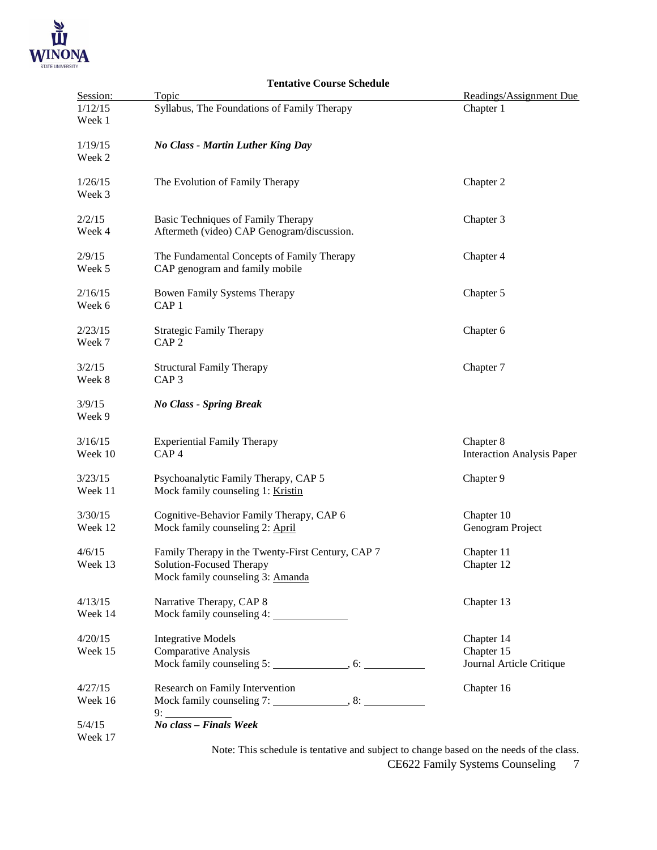

|          | <b>Tentative Course Schedule</b>                                                       |                                   |
|----------|----------------------------------------------------------------------------------------|-----------------------------------|
| Session: | Topic                                                                                  | Readings/Assignment Due           |
| 1/12/15  | Syllabus, The Foundations of Family Therapy                                            | Chapter 1                         |
| Week 1   |                                                                                        |                                   |
|          |                                                                                        |                                   |
| 1/19/15  | <b>No Class - Martin Luther King Day</b>                                               |                                   |
| Week 2   |                                                                                        |                                   |
|          |                                                                                        |                                   |
| 1/26/15  | The Evolution of Family Therapy                                                        | Chapter 2                         |
| Week 3   |                                                                                        |                                   |
|          |                                                                                        |                                   |
| 2/2/15   | Basic Techniques of Family Therapy                                                     | Chapter 3                         |
| Week 4   | Aftermeth (video) CAP Genogram/discussion.                                             |                                   |
|          |                                                                                        |                                   |
| 2/9/15   | The Fundamental Concepts of Family Therapy                                             | Chapter 4                         |
| Week 5   | CAP genogram and family mobile                                                         |                                   |
|          |                                                                                        |                                   |
| 2/16/15  | <b>Bowen Family Systems Therapy</b>                                                    | Chapter 5                         |
| Week 6   | CAP <sub>1</sub>                                                                       |                                   |
| 2/23/15  | <b>Strategic Family Therapy</b>                                                        | Chapter 6                         |
| Week 7   | CAP <sub>2</sub>                                                                       |                                   |
|          |                                                                                        |                                   |
| 3/2/15   | <b>Structural Family Therapy</b>                                                       | Chapter 7                         |
| Week 8   | CAP <sub>3</sub>                                                                       |                                   |
|          |                                                                                        |                                   |
| 3/9/15   | <b>No Class - Spring Break</b>                                                         |                                   |
| Week 9   |                                                                                        |                                   |
|          |                                                                                        |                                   |
| 3/16/15  | <b>Experiential Family Therapy</b>                                                     | Chapter 8                         |
| Week 10  | CAP <sub>4</sub>                                                                       | <b>Interaction Analysis Paper</b> |
|          |                                                                                        |                                   |
| 3/23/15  | Psychoanalytic Family Therapy, CAP 5                                                   | Chapter 9                         |
| Week 11  | Mock family counseling 1: Kristin                                                      |                                   |
|          |                                                                                        |                                   |
| 3/30/15  | Cognitive-Behavior Family Therapy, CAP 6                                               | Chapter 10                        |
| Week 12  | Mock family counseling 2: April                                                        | Genogram Project                  |
|          |                                                                                        |                                   |
| 4/6/15   | Family Therapy in the Twenty-First Century, CAP 7                                      | Chapter 11                        |
| Week 13  | Solution-Focused Therapy                                                               | Chapter 12                        |
|          | Mock family counseling 3: Amanda                                                       |                                   |
|          |                                                                                        |                                   |
| 4/13/15  | Narrative Therapy, CAP 8                                                               | Chapter 13                        |
| Week 14  | Mock family counseling 4:                                                              |                                   |
|          |                                                                                        |                                   |
| 4/20/15  | <b>Integrative Models</b>                                                              | Chapter 14                        |
| Week 15  | <b>Comparative Analysis</b>                                                            | Chapter 15                        |
|          |                                                                                        | Journal Article Critique          |
| 4/27/15  |                                                                                        |                                   |
| Week 16  | Research on Family Intervention                                                        | Chapter 16                        |
|          |                                                                                        |                                   |
| 5/4/15   | No class - Finals Week                                                                 |                                   |
| Week 17  |                                                                                        |                                   |
|          | Note: This schedule is tentative and subject to change based on the needs of the class |                                   |

CE622 Family Systems Counseling 7 Note: This schedule is tentative and subject to change based on the needs of the class.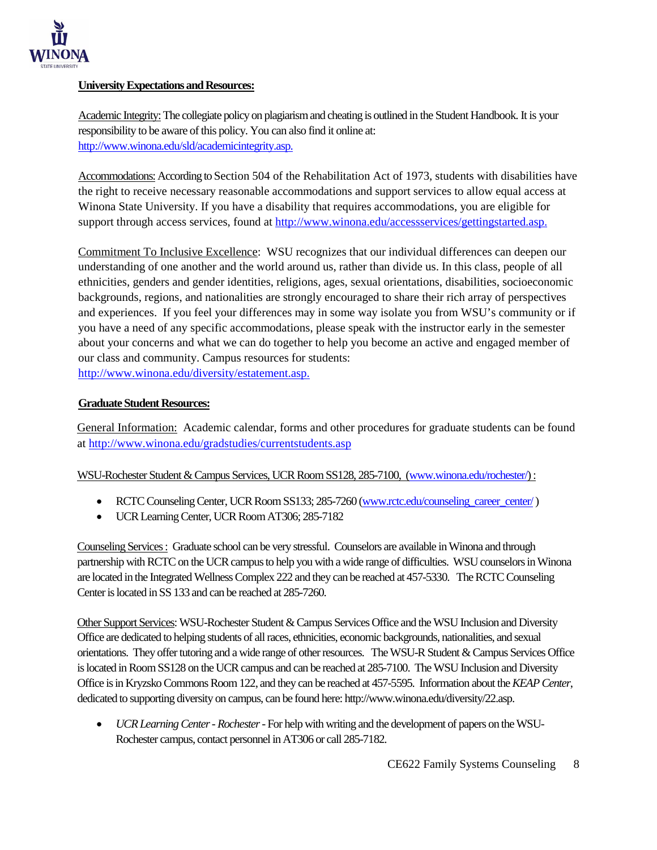

## **University Expectations and Resources:**

Academic Integrity:The collegiate policy on plagiarism and cheating is outlined in the Student Handbook. It is your responsibility to be aware of this policy. You can also find it online at: [http://www.winona.edu/sld/academicintegrity.asp.](http://www.winona.edu/sld/academicintegrity.asp)

Accommodations: According to Section 504 of the Rehabilitation Act of 1973, students with disabilities have the right to receive necessary reasonable accommodations and support services to allow equal access at Winona State University. If you have a disability that requires accommodations, you are eligible for support through access services, found at [http://www.winona.edu/accessservices/gettingstarted.asp.](http://www.winona.edu/accessservices/gettingstarted.asp)

Commitment To Inclusive Excellence: WSU recognizes that our individual differences can deepen our understanding of one another and the world around us, rather than divide us. In this class, people of all ethnicities, genders and gender identities, religions, ages, sexual orientations, disabilities, socioeconomic backgrounds, regions, and nationalities are strongly encouraged to share their rich array of perspectives and experiences. If you feel your differences may in some way isolate you from WSU's community or if you have a need of any specific accommodations, please speak with the instructor early in the semester about your concerns and what we can do together to help you become an active and engaged member of our class and community. Campus resources for students: [http://www.winona.edu/diversity/estatement.asp.](http://www.winona.edu/diversity/estatement.asp)

#### **Graduate Student Resources:**

General Information: Academic calendar, forms and other procedures for graduate students can be found at<http://www.winona.edu/gradstudies/currentstudents.asp>

## WSU-Rochester Student & Campus Services, UCR Room SS128, 285-7100, [\(www.winona.edu/rochester/\)](http://www.winona.edu/rochester/) :

- RCTC Counseling Center, UCR Room SS133; 285-7260 [\(www.rctc.edu/counseling\\_career\\_center/](http://www.rctc.edu/counseling_career_center/))
- UCR Learning Center, UCR Room AT306; 285-7182

Counseling Services : Graduate school can be very stressful. Counselors are available in Winona and through partnership with RCTC on the UCR campus to help you with a wide range of difficulties. WSU counselors in Winona are located in the Integrated Wellness Complex 222 and they can be reached at 457-5330. The RCTC Counseling Center is located in SS 133 and can be reached at 285-7260.

Other Support Services: WSU-Rochester Student & Campus Services Office and the WSU Inclusion and Diversity Office are dedicated to helping students of all races, ethnicities, economic backgrounds, nationalities, and sexual orientations. They offer tutoring and a wide range of other resources. The WSU-R Student & Campus Services Office is located in Room SS128 on the UCR campus and can be reached at 285-7100. The WSU Inclusion and Diversity Office is in Kryzsko Commons Room 122, and they can be reached at 457-5595. Information about the *KEAP Center*, dedicated to supporting diversity on campus, can be found here: http://www.winona.edu/diversity/22.asp.

• *UCR Learning Center - Rochester*-For help with writing and the development of papers on the WSU-Rochester campus, contact personnel in AT306 or call 285-7182.